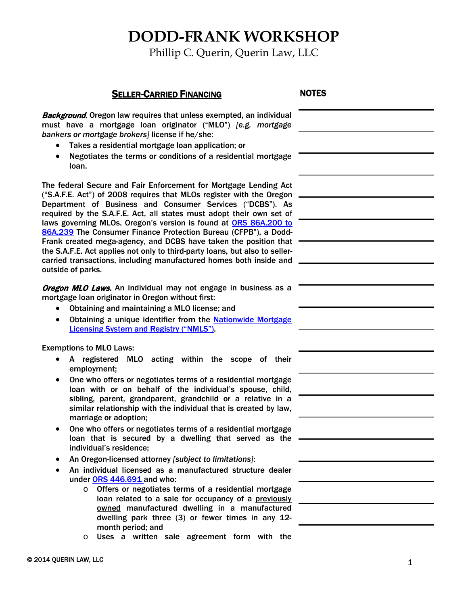Phillip C. Querin, Querin Law, LLC

**NOTES** 

#### SELLER-CARRIED FINANCING

**Background.** Oregon law requires that unless exempted, an individual must have a mortgage loan originator ("MLO") *[e.g. mortgage bankers or mortgage brokers]* license if he/she:

- Takes a residential mortgage loan application; or
- Negotiates the terms or conditions of a residential mortgage loan.

The federal Secure and Fair Enforcement for Mortgage Lending Act ("S.A.F.E. Act") of 2008 requires that MLOs register with the Oregon Department of Business and Consumer Services ("DCBS"). As required by the S.A.F.E. Act, all states must adopt their own set of laws governing MLOs. Oregon's version is found at ORS 86A.200 to [86A.239](http://www.oregonlaws.org/?search=ORS+86A.200) The Consumer Finance Protection Bureau (CFPB"), a Dodd-Frank created mega-agency, and DCBS have taken the position that the S.A.F.E. Act applies not only to third-party loans, but also to sellercarried transactions, including manufactured homes both inside and outside of parks.

Oregon MLO Laws. An individual may not engage in business as a mortgage loan originator in Oregon without first:

- Obtaining and maintaining a MLO license; and
- Obtaining a unique identifier from the **Nationwide Mortgage** [Licensing System and Registry \("NMLS"\).](http://mortgage.nationwidelicensingsystem.org/Pages/default.aspx)

#### Exemptions to MLO Laws:

- A registered MLO acting within the scope of their employment;
- One who offers or negotiates terms of a residential mortgage loan with or on behalf of the individual's spouse, child, sibling, parent, grandparent, grandchild or a relative in a similar relationship with the individual that is created by law, marriage or adoption;
- One who offers or negotiates terms of a residential mortgage loan that is secured by a dwelling that served as the individual's residence;
- An Oregon-licensed attorney *[subject to limitations]*:
- An individual licensed as a manufactured structure dealer under [ORS 446.691 a](http://www.oregonlaws.org/ors/446.691)nd who:
	- o Offers or negotiates terms of a residential mortgage loan related to a sale for occupancy of a previously owned manufactured dwelling in a manufactured dwelling park three (3) or fewer times in any 12 month period; and
	- o Uses a written sale agreement form with the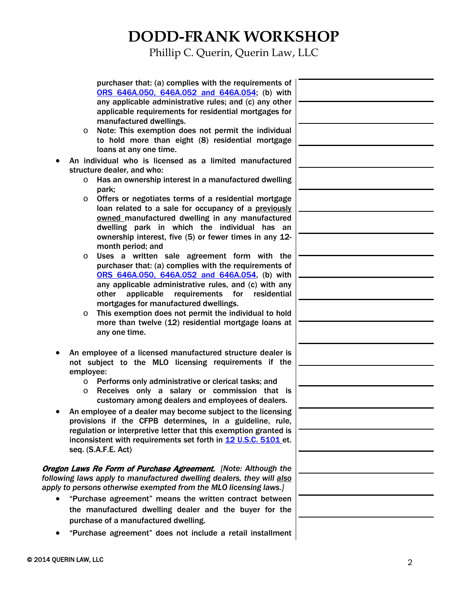Phillip C. Querin, Querin Law, LLC

|                                                         | purchaser that: (a) complies with the requirements of<br>ORS 646A.050, 646A.052 and 646A.054; (b) with<br>any applicable administrative rules; and (c) any other |  |
|---------------------------------------------------------|------------------------------------------------------------------------------------------------------------------------------------------------------------------|--|
|                                                         | applicable requirements for residential mortgages for<br>manufactured dwellings.                                                                                 |  |
| $\circ$                                                 | Note: This exemption does not permit the individual<br>to hold more than eight (8) residential mortgage                                                          |  |
|                                                         | loans at any one time.                                                                                                                                           |  |
|                                                         | An individual who is licensed as a limited manufactured<br>structure dealer, and who:                                                                            |  |
| O                                                       | Has an ownership interest in a manufactured dwelling<br>park;                                                                                                    |  |
| O                                                       | Offers or negotiates terms of a residential mortgage<br>loan related to a sale for occupancy of a previously                                                     |  |
|                                                         | owned_manufactured dwelling in any manufactured<br>dwelling park in which the individual has an                                                                  |  |
|                                                         | ownership interest, five (5) or fewer times in any 12-<br>month period; and                                                                                      |  |
| $\circ$                                                 | Uses a written sale agreement form with the<br>purchaser that: (a) complies with the requirements of<br>ORS 646A.050, 646A.052 and 646A.054, (b) with            |  |
|                                                         | any applicable administrative rules, and (c) with any<br>applicable<br>requirements<br>residential<br>other<br>for                                               |  |
|                                                         | mortgages for manufactured dwellings.                                                                                                                            |  |
| $\circ$                                                 | This exemption does not permit the individual to hold<br>more than twelve (12) residential mortgage loans at<br>any one time.                                    |  |
|                                                         |                                                                                                                                                                  |  |
|                                                         | An employee of a licensed manufactured structure dealer is<br>not subject to the MLO licensing requirements if the                                               |  |
| employee:                                               | Performs only administrative or clerical tasks; and                                                                                                              |  |
| $\circ$<br>O                                            | Receives only a salary or commission that is<br>customary among dealers and employees of dealers.                                                                |  |
|                                                         | An employee of a dealer may become subject to the licensing<br>provisions if the CFPB determines, in a guideline, rule,                                          |  |
|                                                         | regulation or interpretive letter that this exemption granted is<br>inconsistent with requirements set forth in 12 U.S.C. 5101 et.                               |  |
|                                                         | seq. (S.A.F.E. Act)                                                                                                                                              |  |
|                                                         | Oregon Laws Re Form of Purchase Agreement. [Note: Although the<br>following laws apply to manufactured dwelling dealers, they will also                          |  |
|                                                         | apply to persons otherwise exempted from the MLO licensing laws.]                                                                                                |  |
| "Purchase agreement" means the written contract between |                                                                                                                                                                  |  |
| the manufactured dwelling dealer and the buyer for the  |                                                                                                                                                                  |  |
|                                                         | purchase of a manufactured dwelling.                                                                                                                             |  |
|                                                         | "Purchase agreement" does not include a retail installment                                                                                                       |  |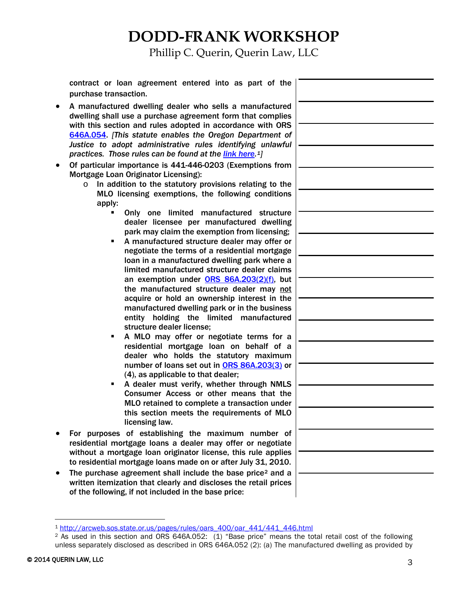Phillip C. Querin, Querin Law, LLC

contract or loan agreement entered into as part of the purchase transaction. • A manufactured dwelling dealer who sells a manufactured dwelling shall use a purchase agreement form that complies with this section and rules adopted in accordance with ORS [646A.054.](http://www.oregonlaws.org/ors/646A.054) *[This statute enables the Oregon Department of Justice to adopt administrative rules identifying unlawful practices. Those rules can be found at the link here.[1\]](#page-2-0)* • Of particular importance is 441-446-0203 (Exemptions from Mortgage Loan Originator Licensing): o In addition to the statutory provisions relating to the MLO licensing exemptions, the following conditions apply: Only one limited manufactured structure dealer licensee per manufactured dwelling park may claim the exemption from licensing; A manufactured structure dealer may offer or negotiate the terms of a residential mortgage loan in a manufactured dwelling park where a limited manufactured structure dealer claims an exemption under  $ORS$   $86A.203(2)(f)$ , but the manufactured structure dealer may not acquire or hold an ownership interest in the manufactured dwelling park or in the business entity holding the limited manufactured structure dealer license; A MLO may offer or negotiate terms for a residential mortgage loan on behalf of a dealer who holds the statutory maximum number of loans set out in [ORS 86A.203\(3\)](http://www.oregonlaws.org/ors/86A.203) or (4), as applicable to that dealer; **A** dealer must verify, whether through NMLS Consumer Access or other means that the MLO retained to complete a transaction under this section meets the requirements of MLO licensing law. • For purposes of establishing the maximum number of residential mortgage loans a dealer may offer or negotiate without a mortgage loan originator license, this rule applies to residential mortgage loans made on or after July 31, 2010. The purchase agreement shall include the base price<sup>[2](#page-2-1)</sup> and a written itemization that clearly and discloses the retail prices of the following, if not included in the base price:

<span id="page-2-0"></span><sup>&</sup>lt;sup>1</sup> [http://arcweb.sos.state.or.us/pages/rules/oars\\_400/oar\\_441/441\\_446.html](http://arcweb.sos.state.or.us/pages/rules/oars_400/oar_441/441_446.html)

<span id="page-2-1"></span><sup>&</sup>lt;sup>2</sup> As used in this section and ORS 646A.052: (1) "Base price" means the total retail cost of the following unless separately disclosed as described in ORS 646A.052 (2): (a) The manufactured dwelling as provided by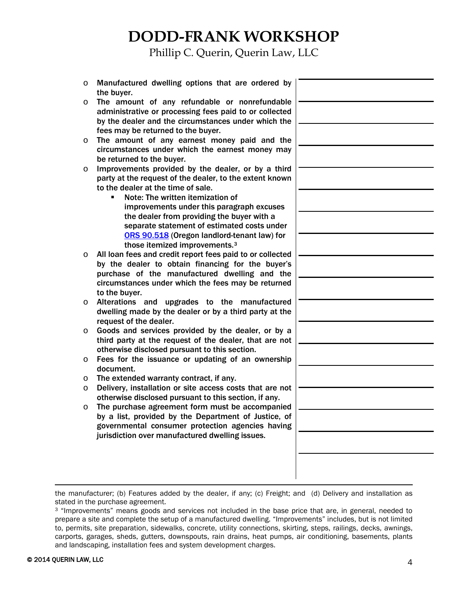Phillip C. Querin, Querin Law, LLC

| O       | Manufactured dwelling options that are ordered by<br>the buyer.                                                                                                |  |
|---------|----------------------------------------------------------------------------------------------------------------------------------------------------------------|--|
| O       | The amount of any refundable or nonrefundable<br>administrative or processing fees paid to or collected<br>by the dealer and the circumstances under which the |  |
|         | fees may be returned to the buyer.                                                                                                                             |  |
| O       | The amount of any earnest money paid and the                                                                                                                   |  |
|         | circumstances under which the earnest money may                                                                                                                |  |
|         | be returned to the buyer.                                                                                                                                      |  |
| O       | Improvements provided by the dealer, or by a third<br>party at the request of the dealer, to the extent known                                                  |  |
|         | to the dealer at the time of sale.                                                                                                                             |  |
|         | Note: The written itemization of<br>$\blacksquare$                                                                                                             |  |
|         | improvements under this paragraph excuses                                                                                                                      |  |
|         | the dealer from providing the buyer with a                                                                                                                     |  |
|         | separate statement of estimated costs under                                                                                                                    |  |
|         | ORS 90.518 (Oregon landlord-tenant law) for                                                                                                                    |  |
|         | those itemized improvements. <sup>3</sup>                                                                                                                      |  |
| $\circ$ | All loan fees and credit report fees paid to or collected                                                                                                      |  |
|         | by the dealer to obtain financing for the buyer's                                                                                                              |  |
|         | purchase of the manufactured dwelling and the<br>circumstances under which the fees may be returned                                                            |  |
|         | to the buyer.                                                                                                                                                  |  |
| $\circ$ | Alterations and upgrades to the manufactured                                                                                                                   |  |
|         | dwelling made by the dealer or by a third party at the                                                                                                         |  |
|         | request of the dealer.                                                                                                                                         |  |
| O       | Goods and services provided by the dealer, or by a                                                                                                             |  |
|         | third party at the request of the dealer, that are not                                                                                                         |  |
|         | otherwise disclosed pursuant to this section.                                                                                                                  |  |
| O       | Fees for the issuance or updating of an ownership                                                                                                              |  |
|         | document.                                                                                                                                                      |  |
| O       | The extended warranty contract, if any.                                                                                                                        |  |
| O       | Delivery, installation or site access costs that are not<br>otherwise disclosed pursuant to this section, if any.                                              |  |
| $\circ$ | The purchase agreement form must be accompanied                                                                                                                |  |
|         | by a list, provided by the Department of Justice, of                                                                                                           |  |
|         | governmental consumer protection agencies having                                                                                                               |  |
|         | jurisdiction over manufactured dwelling issues.                                                                                                                |  |
|         |                                                                                                                                                                |  |
|         |                                                                                                                                                                |  |
|         |                                                                                                                                                                |  |
|         |                                                                                                                                                                |  |

1 the manufacturer; (b) Features added by the dealer, if any; (c) Freight; and (d) Delivery and installation as stated in the purchase agreement.

<span id="page-3-0"></span><sup>3</sup> "Improvements" means goods and services not included in the base price that are, in general, needed to prepare a site and complete the setup of a manufactured dwelling. "Improvements" includes, but is not limited to, permits, site preparation, sidewalks, concrete, utility connections, skirting, steps, railings, decks, awnings, carports, garages, sheds, gutters, downspouts, rain drains, heat pumps, air conditioning, basements, plants and landscaping, installation fees and system development charges.